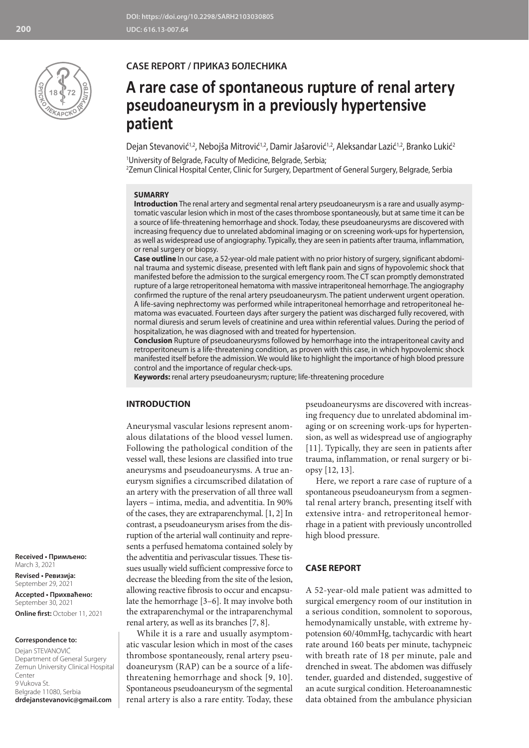

## **CASE REPORT / ПРИКАЗ БОЛЕСНИКА**

# **A rare case of spontaneous rupture of renal artery pseudoaneurysm in a previously hypertensive patient**

Dejan Stevanović<sup>1,2</sup>, Nebojša Mitrović<sup>1,2</sup>, Damir Jašarović<sup>1,2</sup>, Aleksandar Lazić<sup>1,2</sup>, Branko Lukić<sup>2</sup>

1 University of Belgrade, Faculty of Medicine, Belgrade, Serbia; 2 Zemun Clinical Hospital Center, Clinic for Surgery, Department of General Surgery, Belgrade, Serbia

## **SUMARRY**

**Introduction** The renal artery and segmental renal artery pseudoaneurysm is a rare and usually asymptomatic vascular lesion which in most of the cases thrombose spontaneously, but at same time it can be a source of life-threatening hemorrhage and shock. Today, these pseudoaneurysms are discovered with increasing frequency due to unrelated abdominal imaging or on screening work-ups for hypertension, as well as widespread use of angiography. Typically, they are seen in patients after trauma, inflammation, or renal surgery or biopsy.

**Case outline** In our case, a 52-year-old male patient with no prior history of surgery, significant abdominal trauma and systemic disease, presented with left flank pain and signs of hypovolemic shock that manifested before the admission to the surgical emergency room. The CT scan promptly demonstrated rupture of a large retroperitoneal hematoma with massive intraperitoneal hemorrhage. The angiography confirmed the rupture of the renal artery pseudoaneurysm. The patient underwent urgent operation. A life-saving nephrectomy was performed while intraperitoneal hemorrhage and retroperitoneal hematoma was evacuated. Fourteen days after surgery the patient was discharged fully recovered, with normal diuresis and serum levels of creatinine and urea within referential values. During the period of hospitalization, he was diagnosed with and treated for hypertension.

**Conclusion** Rupture of pseudoaneurysms followed by hemorrhage into the intraperitoneal cavity and retroperitoneum is a life-threatening condition, as proven with this case, in which hypovolemic shock manifested itself before the admission. We would like to highlight the importance of high blood pressure control and the importance of regular check-ups.

**Keywords:** renal artery pseudoaneurysm; rupture; life-threatening procedure

## **INTRODUCTION**

Aneurysmal vascular lesions represent anomalous dilatations of the blood vessel lumen. Following the pathological condition of the vessel wall, these lesions are classified into true aneurysms and pseudoaneurysms. A true aneurysm signifies a circumscribed dilatation of an artery with the preservation of all three wall layers – intima, media, and adventitia. In 90% of the cases, they are extraparenchymal. [1, 2] In contrast, a pseudoaneurysm arises from the disruption of the arterial wall continuity and represents a perfused hematoma contained solely by the adventitia and perivascular tissues. These tissues usually wield sufficient compressive force to decrease the bleeding from the site of the lesion, allowing reactive fibrosis to occur and encapsulate the hemorrhage [3–6]. It may involve both the extraparenchymal or the intraparenchymal renal artery, as well as its branches [7, 8].

While it is a rare and usually asymptomatic vascular lesion which in most of the cases thrombose spontaneously, renal artery pseudoaneurysm (RAP) can be a source of a lifethreatening hemorrhage and shock [9, 10]. Spontaneous pseudoaneurysm of the segmental renal artery is also a rare entity. Today, these

pseudoaneurysms are discovered with increasing frequency due to unrelated abdominal imaging or on screening work-ups for hypertension, as well as widespread use of angiography [11]. Typically, they are seen in patients after trauma, inflammation, or renal surgery or biopsy [12, 13].

Here, we report a rare case of rupture of a spontaneous pseudoaneurysm from a segmental renal artery branch, presenting itself with extensive intra- and retroperitoneal hemorrhage in a patient with previously uncontrolled high blood pressure.

#### **CASE REPORT**

A 52-year-old male patient was admitted to surgical emergency room of our institution in a serious condition, somnolent to soporous, hemodynamically unstable, with extreme hypotension 60/40mmHg, tachycardic with heart rate around 160 beats per minute, tachypneic with breath rate of 18 per minute, pale and drenched in sweat. The abdomen was diffusely tender, guarded and distended, suggestive of an acute surgical condition. Heteroanamnestic data obtained from the ambulance physician

**Received • Примљено:**  March 3, 2021

**Revised • Ревизија:**  September 29, 2021 **Accepted • Прихваћено:** September 30, 2021 **Online first:** October 11, 2021

#### **Correspondence to:**

Dejan STEVANOVIĆ Department of General Surgery Zemun University Clinical Hospital Center 9 Vukova St. Belgrade 11080, Serbia **drdejanstevanovic@gmail.com**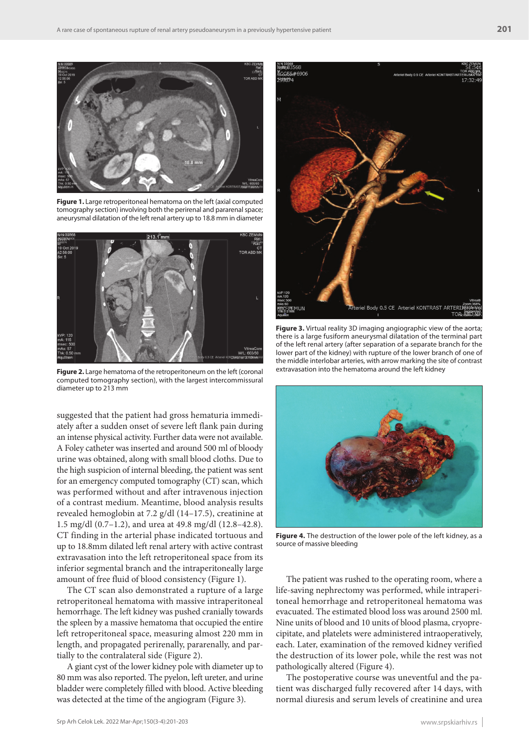

**Figure 1.** Large retroperitoneal hematoma on the left (axial computed tomography section) involving both the perirenal and pararenal space; aneurysmal dilatation of the left renal artery up to 18.8 mm in diameter



**Figure 2.** Large hematoma of the retroperitoneum on the left (coronal computed tomography section), with the largest intercommissural diameter up to 213 mm

suggested that the patient had gross hematuria immediately after a sudden onset of severe left flank pain during an intense physical activity. Further data were not available. A Foley catheter was inserted and around 500 ml of bloody urine was obtained, along with small blood cloths. Due to the high suspicion of internal bleeding, the patient was sent for an emergency computed tomography (CT) scan, which was performed without and after intravenous injection of a contrast medium. Meantime, blood analysis results revealed hemoglobin at 7.2 g/dl (14–17.5), creatinine at 1.5 mg/dl (0.7–1.2), and urea at 49.8 mg/dl (12.8–42.8). CT finding in the arterial phase indicated tortuous and up to 18.8mm dilated left renal artery with active contrast extravasation into the left retroperitoneal space from its inferior segmental branch and the intraperitoneally large amount of free fluid of blood consistency (Figure 1).

The CT scan also demonstrated a rupture of a large retroperitoneal hematoma with massive intraperitoneal hemorrhage. The left kidney was pushed cranially towards the spleen by a massive hematoma that occupied the entire left retroperitoneal space, measuring almost 220 mm in length, and propagated perirenally, pararenally, and partially to the contralateral side (Figure 2).

A giant cyst of the lower kidney pole with diameter up to 80 mm was also reported. The pyelon, left ureter, and urine bladder were completely filled with blood. Active bleeding was detected at the time of the angiogram (Figure 3).



**Figure 3.** Virtual reality 3D imaging angiographic view of the aorta; there is a large fusiform aneurysmal dilatation of the terminal part of the left renal artery (after separation of a separate branch for the lower part of the kidney) with rupture of the lower branch of one of the middle interlobar arteries, with arrow marking the site of contrast extravasation into the hematoma around the left kidney



**Figure 4.** The destruction of the lower pole of the left kidney, as a source of massive bleeding

The patient was rushed to the operating room, where a life-saving nephrectomy was performed, while intraperitoneal hemorrhage and retroperitoneal hematoma was evacuated. The estimated blood loss was around 2500 ml. Nine units of blood and 10 units of blood plasma, cryoprecipitate, and platelets were administered intraoperatively, each. Later, examination of the removed kidney verified the destruction of its lower pole, while the rest was not pathologically altered (Figure 4).

The postoperative course was uneventful and the patient was discharged fully recovered after 14 days, with normal diuresis and serum levels of creatinine and urea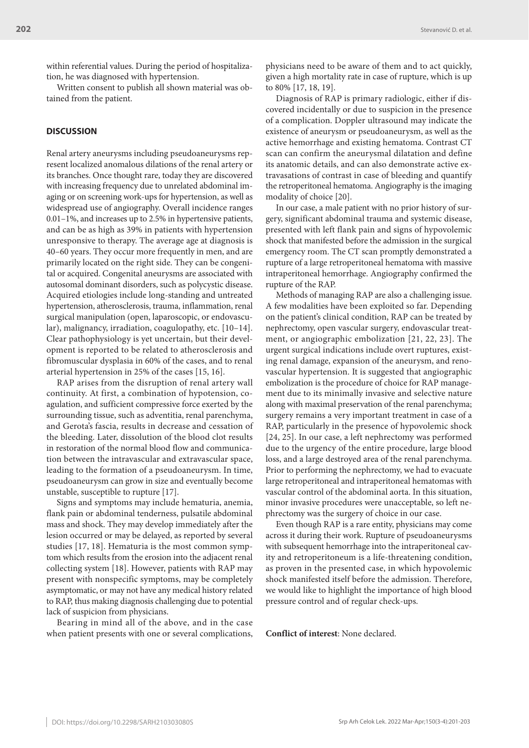within referential values. During the period of hospitalization, he was diagnosed with hypertension.

Written consent to publish all shown material was obtained from the patient.

## **DISCUSSION**

Renal artery aneurysms including pseudoaneurysms represent localized anomalous dilations of the renal artery or its branches. Once thought rare, today they are discovered with increasing frequency due to unrelated abdominal imaging or on screening work-ups for hypertension, as well as widespread use of angiography. Overall incidence ranges 0.01–1%, and increases up to 2.5% in hypertensive patients, and can be as high as 39% in patients with hypertension unresponsive to therapy. The average age at diagnosis is 40–60 years. They occur more frequently in men, and are primarily located on the right side. They can be congenital or acquired. Congenital aneurysms are associated with autosomal dominant disorders, such as polycystic disease. Acquired etiologies include long-standing and untreated hypertension, atherosclerosis, trauma, inflammation, renal surgical manipulation (open, laparoscopic, or endovascular), malignancy, irradiation, coagulopathy, etc. [10–14]. Clear pathophysiology is yet uncertain, but their development is reported to be related to atherosclerosis and fibromuscular dysplasia in 60% of the cases, and to renal arterial hypertension in 25% of the cases [15, 16].

RAP arises from the disruption of renal artery wall continuity. At first, a combination of hypotension, coagulation, and sufficient compressive force exerted by the surrounding tissue, such as adventitia, renal parenchyma, and Gerota's fascia, results in decrease and cessation of the bleeding. Later, dissolution of the blood clot results in restoration of the normal blood flow and communication between the intravascular and extravascular space, leading to the formation of a pseudoaneurysm. In time, pseudoaneurysm can grow in size and eventually become unstable, susceptible to rupture [17].

Signs and symptoms may include hematuria, anemia, flank pain or abdominal tenderness, pulsatile abdominal mass and shock. They may develop immediately after the lesion occurred or may be delayed, as reported by several studies [17, 18]. Hematuria is the most common symptom which results from the erosion into the adjacent renal collecting system [18]. However, patients with RAP may present with nonspecific symptoms, may be completely asymptomatic, or may not have any medical history related to RAP, thus making diagnosis challenging due to potential lack of suspicion from physicians.

Bearing in mind all of the above, and in the case when patient presents with one or several complications, physicians need to be aware of them and to act quickly, given a high mortality rate in case of rupture, which is up to 80% [17, 18, 19].

Diagnosis of RAP is primary radiologic, either if discovered incidentally or due to suspicion in the presence of a complication. Doppler ultrasound may indicate the existence of aneurysm or pseudoaneurysm, as well as the active hemorrhage and existing hematoma. Contrast CT scan can confirm the aneurysmal dilatation and define its anatomic details, and can also demonstrate active extravasations of contrast in case of bleeding and quantify the retroperitoneal hematoma. Angiography is the imaging modality of choice [20].

In our case, a male patient with no prior history of surgery, significant abdominal trauma and systemic disease, presented with left flank pain and signs of hypovolemic shock that manifested before the admission in the surgical emergency room. The CT scan promptly demonstrated a rupture of a large retroperitoneal hematoma with massive intraperitoneal hemorrhage. Angiography confirmed the rupture of the RAP.

Methods of managing RAP are also a challenging issue. A few modalities have been exploited so far. Depending on the patient's clinical condition, RAP can be treated by nephrectomy, open vascular surgery, endovascular treatment, or angiographic embolization [21, 22, 23]. The urgent surgical indications include overt ruptures, existing renal damage, expansion of the aneurysm, and renovascular hypertension. It is suggested that angiographic embolization is the procedure of choice for RAP management due to its minimally invasive and selective nature along with maximal preservation of the renal parenchyma; surgery remains a very important treatment in case of a RAP, particularly in the presence of hypovolemic shock [24, 25]. In our case, a left nephrectomy was performed due to the urgency of the entire procedure, large blood loss, and a large destroyed area of the renal parenchyma. Prior to performing the nephrectomy, we had to evacuate large retroperitoneal and intraperitoneal hematomas with vascular control of the abdominal aorta. In this situation, minor invasive procedures were unacceptable, so left nephrectomy was the surgery of choice in our case.

Even though RAP is a rare entity, physicians may come across it during their work. Rupture of pseudoaneurysms with subsequent hemorrhage into the intraperitoneal cavity and retroperitoneum is a life-threatening condition, as proven in the presented case, in which hypovolemic shock manifested itself before the admission. Therefore, we would like to highlight the importance of high blood pressure control and of regular check-ups.

**Conflict of interest**: None declared.